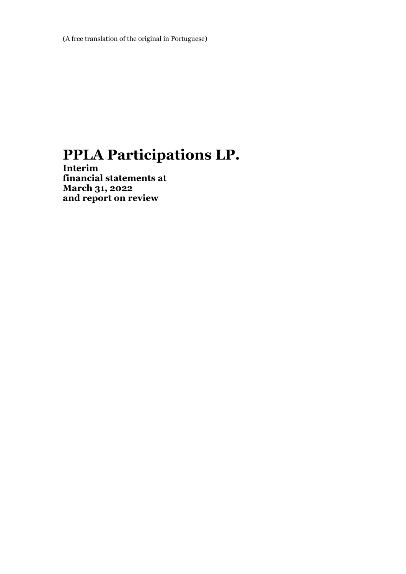(A free translation of the original in Portuguese)

# **PPLA Participations LP.**

**Interim financial statements at March 31, 2022 and report on review**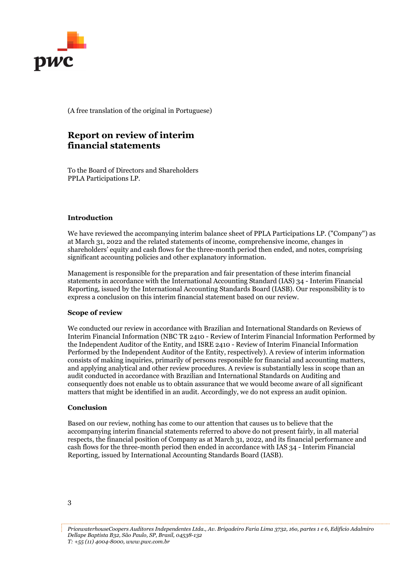

(A free translation of the original in Portuguese)

# **Report on review of interim financial statements**

To the Board of Directors and Shareholders PPLA Participations LP.

### **Introduction**

We have reviewed the accompanying interim balance sheet of PPLA Participations LP. ("Company") as at March 31, 2022 and the related statements of income, comprehensive income, changes in shareholders' equity and cash flows for the three-month period then ended, and notes, comprising significant accounting policies and other explanatory information.

Management is responsible for the preparation and fair presentation of these interim financial statements in accordance with the International Accounting Standard (IAS) 34 - Interim Financial Reporting, issued by the International Accounting Standards Board (IASB). Our responsibility is to express a conclusion on this interim financial statement based on our review.

#### **Scope of review**

We conducted our review in accordance with Brazilian and International Standards on Reviews of Interim Financial Information (NBC TR 2410 - Review of Interim Financial Information Performed by the Independent Auditor of the Entity, and ISRE 2410 - Review of Interim Financial Information Performed by the Independent Auditor of the Entity, respectively). A review of interim information consists of making inquiries, primarily of persons responsible for financial and accounting matters, and applying analytical and other review procedures. A review is substantially less in scope than an audit conducted in accordance with Brazilian and International Standards on Auditing and consequently does not enable us to obtain assurance that we would become aware of all significant matters that might be identified in an audit. Accordingly, we do not express an audit opinion.

#### **Conclusion**

Based on our review, nothing has come to our attention that causes us to believe that the accompanying interim financial statements referred to above do not present fairly, in all material respects, the financial position of Company as at March 31, 2022, and its financial performance and cash flows for the three-month period then ended in accordance with IAS 34 - Interim Financial Reporting, issued by International Accounting Standards Board (IASB).

*PricewaterhouseCoopers Auditores Independentes Ltda., Av. Brigadeiro Faria Lima 3732, 16o, partes 1 e 6, Edifício Adalmiro Dellape Baptista B32, São Paulo, SP, Brasil, 04538-132 T: +55 (11) 4004-8000, www.pwc.com.br*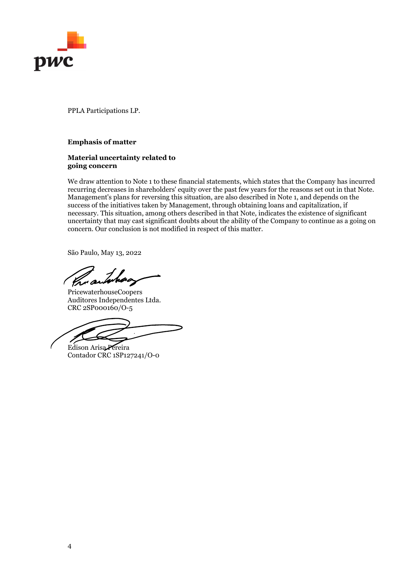

### **Emphasis of matter**

### **Material uncertainty related to going concern**

We draw attention to Note 1 to these financial statements, which states that the Company has incurred recurring decreases in shareholders' equity over the past few years for the reasons set out in that Note. Management's plans for reversing this situation, are also described in Note 1, and depends on the success of the initiatives taken by Management, through obtaining loans and capitalization, if necessary. This situation, among others described in that Note, indicates the existence of significant uncertainty that may cast significant doubts about the ability of the Company to continue as a going on concern. Our conclusion is not modified in respect of this matter.

São Paulo, May 13, 2022

PricewaterhouseCoopers Auditores Independentes Ltda. CRC 2SP000160/O-5

Edison Arisa Pereira Contador CRC 1SP127241/O-0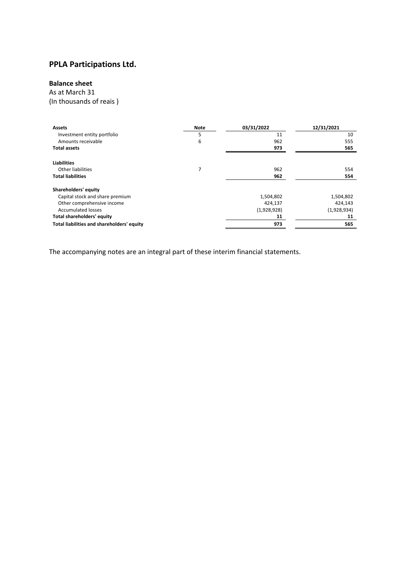### **Balance sheet**

As at March 31

(In thousands of reais )

| 5<br>11<br>Investment entity portfolio<br>10<br>6<br>Amounts receivable<br>962<br>555<br>973<br>565<br><b>Total assets</b><br><b>Liabilities</b><br>7<br>Other liabilities<br>962<br>554<br><b>Total liabilities</b><br>962<br>554<br>Shareholders' equity<br>Capital stock and share premium<br>1,504,802<br>1,504,802<br>Other comprehensive income<br>424,143<br>424,137<br><b>Accumulated losses</b><br>(1,928,934)<br>(1,928,928)<br>Total shareholders' equity<br>11<br>11<br>Total liabilities and shareholders' equity<br>973<br>565 | <b>Assets</b> | <b>Note</b> | 03/31/2022 | 12/31/2021 |
|----------------------------------------------------------------------------------------------------------------------------------------------------------------------------------------------------------------------------------------------------------------------------------------------------------------------------------------------------------------------------------------------------------------------------------------------------------------------------------------------------------------------------------------------|---------------|-------------|------------|------------|
|                                                                                                                                                                                                                                                                                                                                                                                                                                                                                                                                              |               |             |            |            |
|                                                                                                                                                                                                                                                                                                                                                                                                                                                                                                                                              |               |             |            |            |
|                                                                                                                                                                                                                                                                                                                                                                                                                                                                                                                                              |               |             |            |            |
|                                                                                                                                                                                                                                                                                                                                                                                                                                                                                                                                              |               |             |            |            |
|                                                                                                                                                                                                                                                                                                                                                                                                                                                                                                                                              |               |             |            |            |
|                                                                                                                                                                                                                                                                                                                                                                                                                                                                                                                                              |               |             |            |            |
|                                                                                                                                                                                                                                                                                                                                                                                                                                                                                                                                              |               |             |            |            |
|                                                                                                                                                                                                                                                                                                                                                                                                                                                                                                                                              |               |             |            |            |
|                                                                                                                                                                                                                                                                                                                                                                                                                                                                                                                                              |               |             |            |            |
|                                                                                                                                                                                                                                                                                                                                                                                                                                                                                                                                              |               |             |            |            |
|                                                                                                                                                                                                                                                                                                                                                                                                                                                                                                                                              |               |             |            |            |
|                                                                                                                                                                                                                                                                                                                                                                                                                                                                                                                                              |               |             |            |            |
|                                                                                                                                                                                                                                                                                                                                                                                                                                                                                                                                              |               |             |            |            |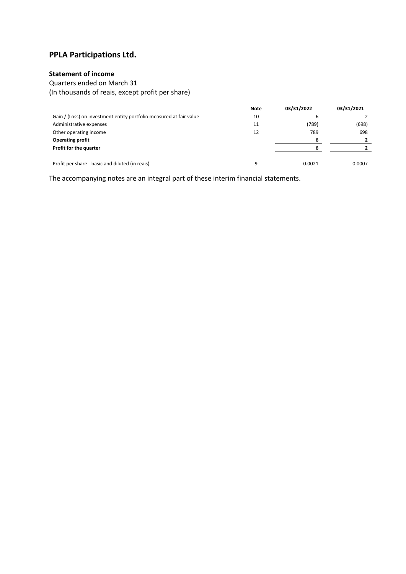### **Statement of income**

Quarters ended on March 31 (In thousands of reais, except profit per share)

|                                                                     | Note | 03/31/2022 | 03/31/2021 |
|---------------------------------------------------------------------|------|------------|------------|
| Gain / (Loss) on investment entity portfolio measured at fair value | 10   |            |            |
| Administrative expenses                                             | 11   | (789)      | (698)      |
| Other operating income                                              | 12   | 789        | 698        |
| <b>Operating profit</b>                                             |      | 6          |            |
| Profit for the quarter                                              |      |            |            |
|                                                                     |      |            |            |
| Profit per share - basic and diluted (in reais)                     |      | 0.0021     | 0.0007     |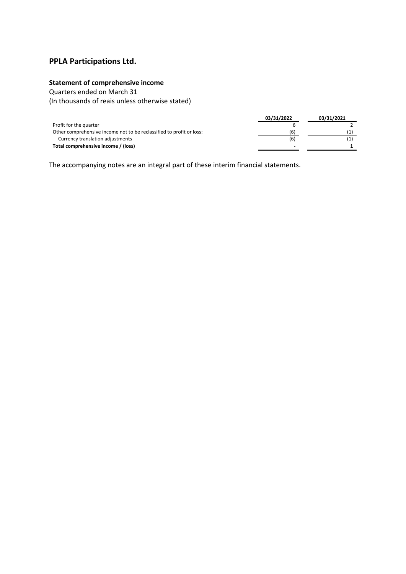### **Statement of comprehensive income**

Quarters ended on March 31

(In thousands of reais unless otherwise stated)

|                                                                      | 03/31/2022 | 03/31/2021 |
|----------------------------------------------------------------------|------------|------------|
| Profit for the quarter                                               |            |            |
| Other comprehensive income not to be reclassified to profit or loss: | (6)        |            |
| Currency translation adjustments                                     | (6)        |            |
| Total comprehensive income / (loss)                                  |            |            |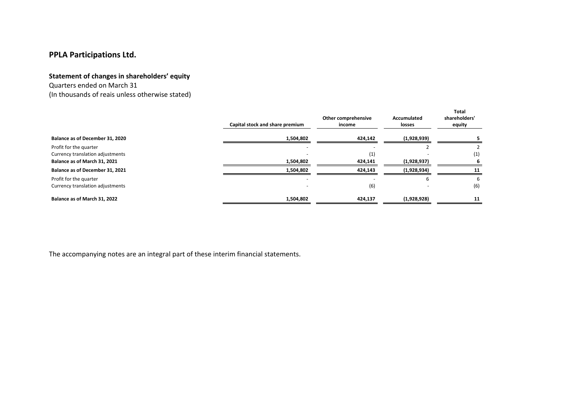#### **Statement of changes in shareholders' equity**

Quarters ended on March 31 (In thousands of reais unless otherwise stated)

|                                                            | Capital stock and share premium | Other comprehensive<br>income | Accumulated<br>losses | Total<br>shareholders'<br>equity |
|------------------------------------------------------------|---------------------------------|-------------------------------|-----------------------|----------------------------------|
| Balance as of December 31, 2020                            | 1,504,802                       | 424,142                       | (1,928,939)           |                                  |
| Profit for the quarter<br>Currency translation adjustments |                                 | (1)                           |                       | $\left( 1\right)$                |
| Balance as of March 31, 2021                               | 1,504,802                       | 424,141                       | (1,928,937)           |                                  |
| Balance as of December 31, 2021                            | 1,504,802                       | 424,143                       | (1,928,934)           | 11                               |
| Profit for the quarter<br>Currency translation adjustments |                                 | (6)                           |                       | b<br>(6)                         |
| Balance as of March 31, 2022                               | 1,504,802                       | 424,137                       | (1,928,928)           | 11                               |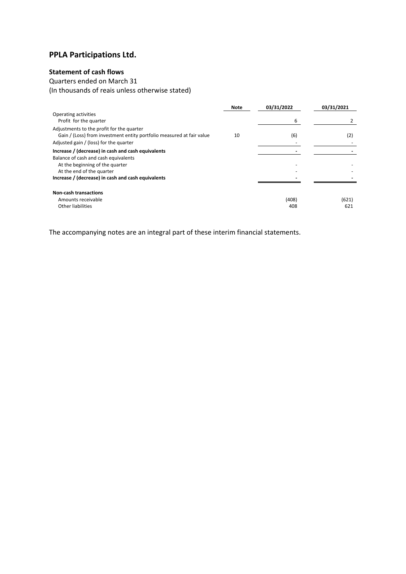### **Statement of cash flows**

Quarters ended on March 31

(In thousands of reais unless otherwise stated)

|                                                                                                                                                              | <b>Note</b> | 03/31/2022   | 03/31/2021   |
|--------------------------------------------------------------------------------------------------------------------------------------------------------------|-------------|--------------|--------------|
| Operating activities<br>Profit for the quarter                                                                                                               |             | 6            |              |
| Adjustments to the profit for the quarter<br>Gain / (Loss) from investment entity portfolio measured at fair value<br>Adjusted gain / (loss) for the quarter | 10          | (6)          | (2)          |
| Increase / (decrease) in cash and cash equivalents                                                                                                           |             |              |              |
| Balance of cash and cash equivalents<br>At the beginning of the quarter<br>At the end of the quarter                                                         |             |              |              |
| Increase / (decrease) in cash and cash equivalents                                                                                                           |             |              |              |
| <b>Non-cash transactions</b><br>Amounts receivable<br>Other liabilities                                                                                      |             | (408)<br>408 | (621)<br>621 |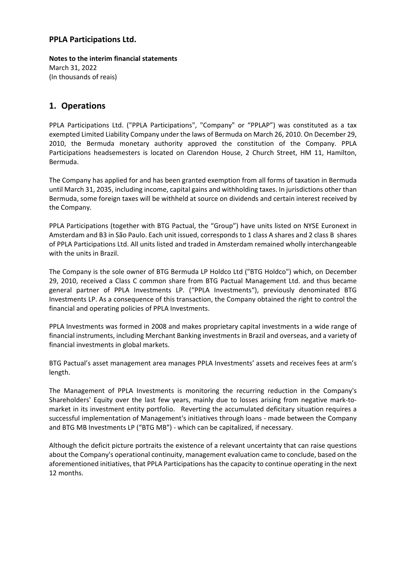**Notes to the interim financial statements** March 31, 2022 (In thousands of reais)

# **1. Operations**

PPLA Participations Ltd. ("PPLA Participations", "Company" or "PPLAP") was constituted as a tax exempted Limited Liability Company under the laws of Bermuda on March 26, 2010. On December 29, 2010, the Bermuda monetary authority approved the constitution of the Company. PPLA Participations headsemesters is located on Clarendon House, 2 Church Street, HM 11, Hamilton, Bermuda.

The Company has applied for and has been granted exemption from all forms of taxation in Bermuda until March 31, 2035, including income, capital gains and withholding taxes. In jurisdictions other than Bermuda, some foreign taxes will be withheld at source on dividends and certain interest received by the Company.

PPLA Participations (together with BTG Pactual, the "Group") have units listed on NYSE Euronext in Amsterdam and B3 in São Paulo. Each unit issued, corresponds to 1 class A shares and 2 class B shares of PPLA Participations Ltd. All units listed and traded in Amsterdam remained wholly interchangeable with the units in Brazil.

The Company is the sole owner of BTG Bermuda LP Holdco Ltd ("BTG Holdco") which, on December 29, 2010, received a Class C common share from BTG Pactual Management Ltd. and thus became general partner of PPLA Investments LP. ("PPLA Investments"), previously denominated BTG Investments LP. As a consequence of this transaction, the Company obtained the right to control the financial and operating policies of PPLA Investments.

PPLA Investments was formed in 2008 and makes proprietary capital investments in a wide range of financial instruments, including Merchant Banking investments in Brazil and overseas, and a variety of financial investments in global markets.

BTG Pactual's asset management area manages PPLA Investments' assets and receives fees at arm's length.

The Management of PPLA Investments is monitoring the recurring reduction in the Company's Shareholders' Equity over the last few years, mainly due to losses arising from negative mark‐to‐ market in its investment entity portfolio. Reverting the accumulated deficitary situation requires a successful implementation of Management's initiatives through loans ‐ made between the Company and BTG MB Investments LP ("BTG MB") ‐ which can be capitalized, if necessary.

Although the deficit picture portraits the existence of a relevant uncertainty that can raise questions about the Company's operational continuity, management evaluation came to conclude, based on the aforementioned initiatives, that PPLA Participations has the capacity to continue operating in the next 12 months.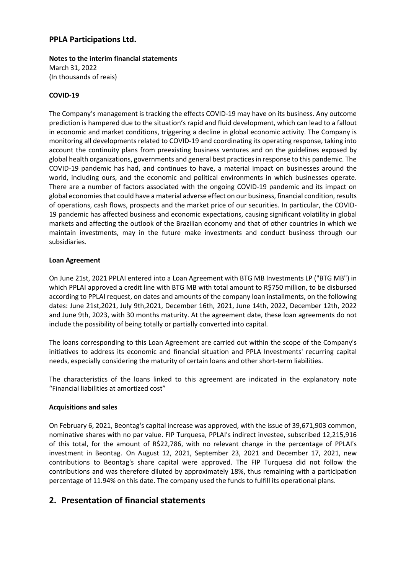**Notes to the interim financial statements** March 31, 2022 (In thousands of reais)

### **COVID‐19**

The Company's management is tracking the effects COVID‐19 may have on its business. Any outcome prediction is hampered due to the situation's rapid and fluid development, which can lead to a fallout in economic and market conditions, triggering a decline in global economic activity. The Company is monitoring all developments related to COVID‐19 and coordinating its operating response, taking into account the continuity plans from preexisting business ventures and on the guidelines exposed by global health organizations, governments and general best practicesin response to this pandemic. The COVID‐19 pandemic has had, and continues to have, a material impact on businesses around the world, including ours, and the economic and political environments in which businesses operate. There are a number of factors associated with the ongoing COVID‐19 pandemic and its impact on global economiesthat could have a material adverse effect on our business, financial condition, results of operations, cash flows, prospects and the market price of our securities. In particular, the COVID‐ 19 pandemic has affected business and economic expectations, causing significant volatility in global markets and affecting the outlook of the Brazilian economy and that of other countries in which we maintain investments, may in the future make investments and conduct business through our subsidiaries.

### **Loan Agreement**

On June 21st, 2021 PPLAI entered into a Loan Agreement with BTG MB Investments LP ("BTG MB") in which PPLAI approved a credit line with BTG MB with total amount to R\$750 million, to be disbursed according to PPLAI request, on dates and amounts of the company loan installments, on the following dates: June 21st,2021, July 9th,2021, December 16th, 2021, June 14th, 2022, December 12th, 2022 and June 9th, 2023, with 30 months maturity. At the agreement date, these loan agreements do not include the possibility of being totally or partially converted into capital.

The loans corresponding to this Loan Agreement are carried out within the scope of the Company's initiatives to address its economic and financial situation and PPLA Investments' recurring capital needs, especially considering the maturity of certain loans and other short-term liabilities.

The characteristics of the loans linked to this agreement are indicated in the explanatory note "Financial liabilities at amortized cost"

### **Acquisitions and sales**

On February 6, 2021, Beontag's capital increase was approved, with the issue of 39,671,903 common, nominative shares with no par value. FIP Turquesa, PPLAI's indirect investee, subscribed 12,215,916 of this total, for the amount of R\$22,786, with no relevant change in the percentage of PPLAI's investment in Beontag. On August 12, 2021, September 23, 2021 and December 17, 2021, new contributions to Beontag's share capital were approved. The FIP Turquesa did not follow the contributions and was therefore diluted by approximately 18%, thus remaining with a participation percentage of 11.94% on this date. The company used the funds to fulfill its operational plans.

# **2. Presentation of financial statements**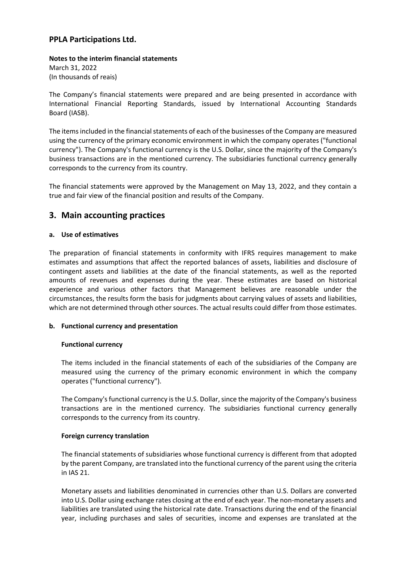### **Notes to the interim financial statements** March 31, 2022 (In thousands of reais)

The Company's financial statements were prepared and are being presented in accordance with International Financial Reporting Standards, issued by International Accounting Standards Board (IASB).

The items included in the financial statements of each of the businesses of the Company are measured using the currency of the primary economic environment in which the company operates ("functional currency"). The Company's functional currency is the U.S. Dollar, since the majority of the Company's business transactions are in the mentioned currency. The subsidiaries functional currency generally corresponds to the currency from its country.

The financial statements were approved by the Management on May 13, 2022, and they contain a true and fair view of the financial position and results of the Company.

### **3. Main accounting practices**

### **a. Use of estimatives**

The preparation of financial statements in conformity with IFRS requires management to make estimates and assumptions that affect the reported balances of assets, liabilities and disclosure of contingent assets and liabilities at the date of the financial statements, as well as the reported amounts of revenues and expenses during the year. These estimates are based on historical experience and various other factors that Management believes are reasonable under the circumstances, the results form the basis for judgments about carrying values of assets and liabilities, which are not determined through other sources. The actual results could differ from those estimates.

### **b. Functional currency and presentation**

### **Functional currency**

The items included in the financial statements of each of the subsidiaries of the Company are measured using the currency of the primary economic environment in which the company operates ("functional currency").

The Company's functional currency is the U.S. Dollar, since the majority of the Company's business transactions are in the mentioned currency. The subsidiaries functional currency generally corresponds to the currency from its country.

#### **Foreign currency translation**

The financial statements of subsidiaries whose functional currency is different from that adopted by the parent Company, are translated into the functional currency of the parent using the criteria in IAS 21.

Monetary assets and liabilities denominated in currencies other than U.S. Dollars are converted into U.S. Dollar using exchange rates closing at the end of each year. The non-monetary assets and liabilities are translated using the historical rate date. Transactions during the end of the financial year, including purchases and sales of securities, income and expenses are translated at the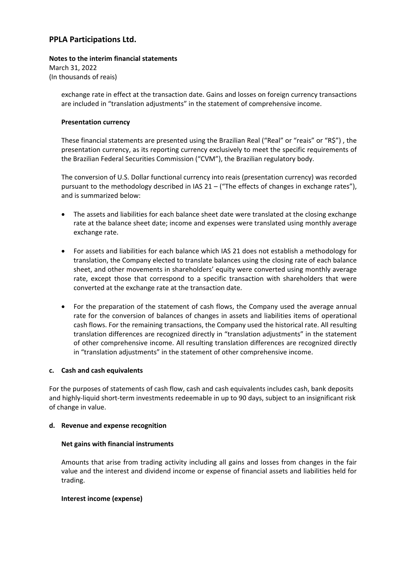# **Notes to the interim financial statements** March 31, 2022

(In thousands of reais)

exchange rate in effect at the transaction date. Gains and losses on foreign currency transactions are included in "translation adjustments" in the statement of comprehensive income.

### **Presentation currency**

These financial statements are presented using the Brazilian Real ("Real" or "reais" or "R\$") , the presentation currency, as its reporting currency exclusively to meet the specific requirements of the Brazilian Federal Securities Commission ("CVM"), the Brazilian regulatory body.

The conversion of U.S. Dollar functional currency into reais (presentation currency) was recorded pursuant to the methodology described in IAS 21 – ("The effects of changes in exchange rates"), and is summarized below:

- The assets and liabilities for each balance sheet date were translated at the closing exchange rate at the balance sheet date; income and expenses were translated using monthly average exchange rate.
- For assets and liabilities for each balance which IAS 21 does not establish a methodology for translation, the Company elected to translate balances using the closing rate of each balance sheet, and other movements in shareholders' equity were converted using monthly average rate, except those that correspond to a specific transaction with shareholders that were converted at the exchange rate at the transaction date.
- For the preparation of the statement of cash flows, the Company used the average annual rate for the conversion of balances of changes in assets and liabilities items of operational cash flows. For the remaining transactions, the Company used the historical rate. All resulting translation differences are recognized directly in "translation adjustments" in the statement of other comprehensive income. All resulting translation differences are recognized directly in "translation adjustments" in the statement of other comprehensive income.

### **c. Cash and cash equivalents**

For the purposes of statements of cash flow, cash and cash equivalents includes cash, bank deposits and highly‐liquid short‐term investments redeemable in up to 90 days, subject to an insignificant risk of change in value.

### **d. Revenue and expense recognition**

### **Net gains with financial instruments**

Amounts that arise from trading activity including all gains and losses from changes in the fair value and the interest and dividend income or expense of financial assets and liabilities held for trading.

### **Interest income (expense)**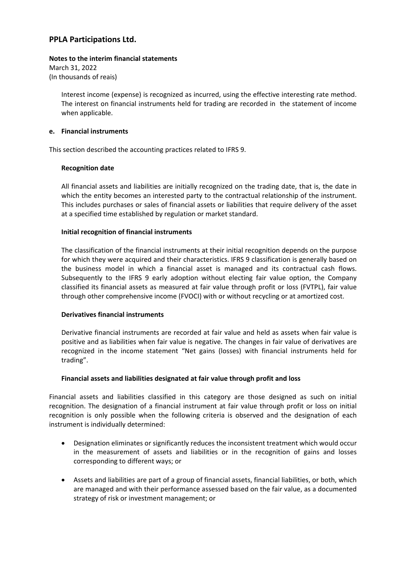### **Notes to the interim financial statements**

March 31, 2022 (In thousands of reais)

> Interest income (expense) is recognized as incurred, using the effective interesting rate method. The interest on financial instruments held for trading are recorded in the statement of income when applicable.

### **e. Financial instruments**

This section described the accounting practices related to IFRS 9.

### **Recognition date**

All financial assets and liabilities are initially recognized on the trading date, that is, the date in which the entity becomes an interested party to the contractual relationship of the instrument. This includes purchases or sales of financial assets or liabilities that require delivery of the asset at a specified time established by regulation or market standard.

### **Initial recognition of financial instruments**

The classification of the financial instruments at their initial recognition depends on the purpose for which they were acquired and their characteristics. IFRS 9 classification is generally based on the business model in which a financial asset is managed and its contractual cash flows. Subsequently to the IFRS 9 early adoption without electing fair value option, the Company classified its financial assets as measured at fair value through profit or loss (FVTPL), fair value through other comprehensive income (FVOCI) with or without recycling or at amortized cost.

### **Derivatives financial instruments**

Derivative financial instruments are recorded at fair value and held as assets when fair value is positive and as liabilities when fair value is negative. The changes in fair value of derivatives are recognized in the income statement "Net gains (losses) with financial instruments held for trading".

### **Financial assets and liabilities designated at fair value through profit and loss**

Financial assets and liabilities classified in this category are those designed as such on initial recognition. The designation of a financial instrument at fair value through profit or loss on initial recognition is only possible when the following criteria is observed and the designation of each instrument is individually determined:

- Designation eliminates or significantly reduces the inconsistent treatment which would occur in the measurement of assets and liabilities or in the recognition of gains and losses corresponding to different ways; or
- Assets and liabilities are part of a group of financial assets, financial liabilities, or both, which are managed and with their performance assessed based on the fair value, as a documented strategy of risk or investment management; or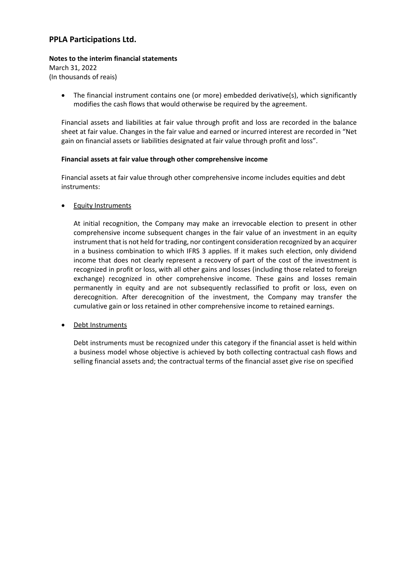### **Notes to the interim financial statements**

March 31, 2022 (In thousands of reais)

> The financial instrument contains one (or more) embedded derivative(s), which significantly modifies the cash flows that would otherwise be required by the agreement.

> Financial assets and liabilities at fair value through profit and loss are recorded in the balance sheet at fair value. Changes in the fair value and earned or incurred interest are recorded in "Net gain on financial assets or liabilities designated at fair value through profit and loss".

### **Financial assets at fair value through other comprehensive income**

Financial assets at fair value through other comprehensive income includes equities and debt instruments:

Equity Instruments

At initial recognition, the Company may make an irrevocable election to present in other comprehensive income subsequent changes in the fair value of an investment in an equity instrument that is not held for trading, nor contingent consideration recognized by an acquirer in a business combination to which IFRS 3 applies. If it makes such election, only dividend income that does not clearly represent a recovery of part of the cost of the investment is recognized in profit or loss, with all other gains and losses (including those related to foreign exchange) recognized in other comprehensive income. These gains and losses remain permanently in equity and are not subsequently reclassified to profit or loss, even on derecognition. After derecognition of the investment, the Company may transfer the cumulative gain or loss retained in other comprehensive income to retained earnings.

Debt Instruments

Debt instruments must be recognized under this category if the financial asset is held within a business model whose objective is achieved by both collecting contractual cash flows and selling financial assets and; the contractual terms of the financial asset give rise on specified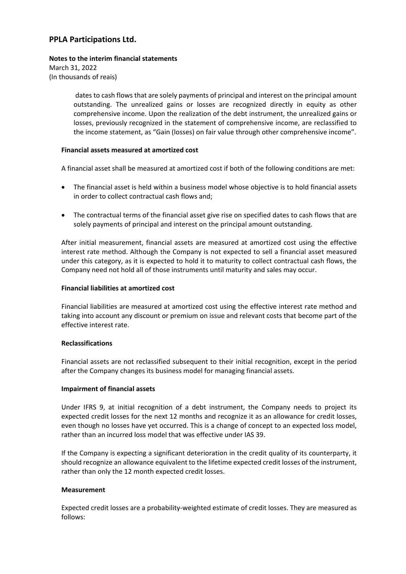### **Notes to the interim financial statements**

March 31, 2022 (In thousands of reais)

> dates to cash flows that are solely payments of principal and interest on the principal amount outstanding. The unrealized gains or losses are recognized directly in equity as other comprehensive income. Upon the realization of the debt instrument, the unrealized gains or losses, previously recognized in the statement of comprehensive income, are reclassified to the income statement, as "Gain (losses) on fair value through other comprehensive income".

### **Financial assets measured at amortized cost**

A financial asset shall be measured at amortized cost if both of the following conditions are met:

- The financial asset is held within a business model whose objective is to hold financial assets in order to collect contractual cash flows and;
- The contractual terms of the financial asset give rise on specified dates to cash flows that are solely payments of principal and interest on the principal amount outstanding.

After initial measurement, financial assets are measured at amortized cost using the effective interest rate method. Although the Company is not expected to sell a financial asset measured under this category, as it is expected to hold it to maturity to collect contractual cash flows, the Company need not hold all of those instruments until maturity and sales may occur.

### **Financial liabilities at amortized cost**

Financial liabilities are measured at amortized cost using the effective interest rate method and taking into account any discount or premium on issue and relevant costs that become part of the effective interest rate.

### **Reclassifications**

Financial assets are not reclassified subsequent to their initial recognition, except in the period after the Company changes its business model for managing financial assets.

### **Impairment of financial assets**

Under IFRS 9, at initial recognition of a debt instrument, the Company needs to project its expected credit losses for the next 12 months and recognize it as an allowance for credit losses, even though no losses have yet occurred. This is a change of concept to an expected loss model, rather than an incurred loss model that was effective under IAS 39.

If the Company is expecting a significant deterioration in the credit quality of its counterparty, it should recognize an allowance equivalent to the lifetime expected credit losses of the instrument, rather than only the 12 month expected credit losses.

### **Measurement**

Expected credit losses are a probability-weighted estimate of credit losses. They are measured as follows: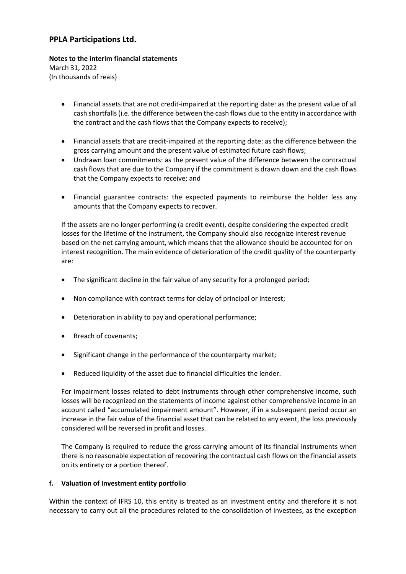# **Notes to the interim financial statements**

March 31, 2022 (In thousands of reais)

- Financial assets that are not credit‐impaired at the reporting date: as the present value of all cash shortfalls(i.e. the difference between the cash flows due to the entity in accordance with the contract and the cash flows that the Company expects to receive);
- Financial assets that are credit‐impaired at the reporting date: as the difference between the gross carrying amount and the present value of estimated future cash flows;
- Undrawn loan commitments: as the present value of the difference between the contractual cash flows that are due to the Company if the commitment is drawn down and the cash flows that the Company expects to receive; and
- Financial guarantee contracts: the expected payments to reimburse the holder less any amounts that the Company expects to recover.

If the assets are no longer performing (a credit event), despite considering the expected credit losses for the lifetime of the instrument, the Company should also recognize interest revenue based on the net carrying amount, which means that the allowance should be accounted for on interest recognition. The main evidence of deterioration of the credit quality of the counterparty are:

- The significant decline in the fair value of any security for a prolonged period;
- Non compliance with contract terms for delay of principal or interest;
- Deterioration in ability to pay and operational performance;
- Breach of covenants;
- Significant change in the performance of the counterparty market;
- Reduced liquidity of the asset due to financial difficulties the lender.

For impairment losses related to debt instruments through other comprehensive income, such losses will be recognized on the statements of income against other comprehensive income in an account called "accumulated impairment amount". However, if in a subsequent period occur an increase in the fair value of the financial asset that can be related to any event, the loss previously considered will be reversed in profit and losses.

The Company is required to reduce the gross carrying amount of its financial instruments when there is no reasonable expectation of recovering the contractual cash flows on the financial assets on its entirety or a portion thereof.

### **f. Valuation of Investment entity portfolio**

Within the context of IFRS 10, this entity is treated as an investment entity and therefore it is not necessary to carry out all the procedures related to the consolidation of investees, as the exception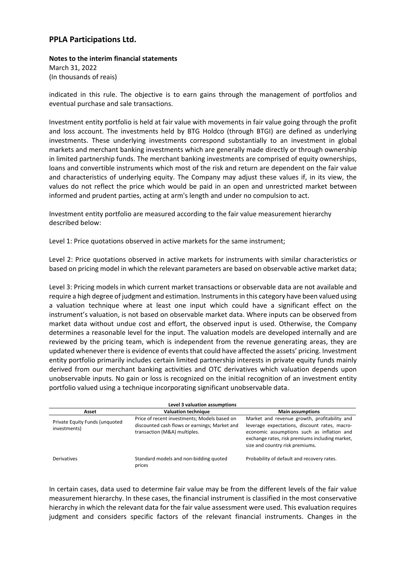**Notes to the interim financial statements** March 31, 2022 (In thousands of reais)

indicated in this rule. The objective is to earn gains through the management of portfolios and eventual purchase and sale transactions.

Investment entity portfolio is held at fair value with movements in fair value going through the profit and loss account. The investments held by BTG Holdco (through BTGI) are defined as underlying investments. These underlying investments correspond substantially to an investment in global markets and merchant banking investments which are generally made directly or through ownership in limited partnership funds. The merchant banking investments are comprised of equity ownerships, loans and convertible instruments which most of the risk and return are dependent on the fair value and characteristics of underlying equity. The Company may adjust these values if, in its view, the values do not reflect the price which would be paid in an open and unrestricted market between informed and prudent parties, acting at arm's length and under no compulsion to act.

Investment entity portfolio are measured according to the fair value measurement hierarchy described below:

Level 1: Price quotations observed in active markets for the same instrument;

Level 2: Price quotations observed in active markets for instruments with similar characteristics or based on pricing model in which the relevant parameters are based on observable active market data;

Level 3: Pricing models in which current market transactions or observable data are not available and require a high degree of judgment and estimation. Instrumentsin this category have been valued using a valuation technique where at least one input which could have a significant effect on the instrument's valuation, is not based on observable market data. Where inputs can be observed from market data without undue cost and effort, the observed input is used. Otherwise, the Company determines a reasonable level for the input. The valuation models are developed internally and are reviewed by the pricing team, which is independent from the revenue generating areas, they are updated whenever there is evidence of events that could have affected the assets' pricing. Investment entity portfolio primarily includes certain limited partnership interests in private equity funds mainly derived from our merchant banking activities and OTC derivatives which valuation depends upon unobservable inputs. No gain or loss is recognized on the initial recognition of an investment entity portfolio valued using a technique incorporating significant unobservable data.

| Level 3 valuation assumptions                  |                                                                                                                               |                                                                                                                                                                                                                                   |  |
|------------------------------------------------|-------------------------------------------------------------------------------------------------------------------------------|-----------------------------------------------------------------------------------------------------------------------------------------------------------------------------------------------------------------------------------|--|
| Asset                                          | <b>Valuation technique</b>                                                                                                    | <b>Main assumptions</b>                                                                                                                                                                                                           |  |
| Private Equity Funds (unquoted<br>investments) | Price of recent investments; Models based on<br>discounted cash flows or earnings; Market and<br>transaction (M&A) multiples. | Market and revenue growth, profitability and<br>leverage expectations, discount rates, macro-<br>economic assumptions such as inflation and<br>exchange rates, risk premiums including market,<br>size and country risk premiums. |  |
| <b>Derivatives</b>                             | Standard models and non-bidding quoted<br>prices                                                                              | Probability of default and recovery rates.                                                                                                                                                                                        |  |

In certain cases, data used to determine fair value may be from the different levels of the fair value measurement hierarchy. In these cases, the financial instrument is classified in the most conservative hierarchy in which the relevant data for the fair value assessment were used. This evaluation requires judgment and considers specific factors of the relevant financial instruments. Changes in the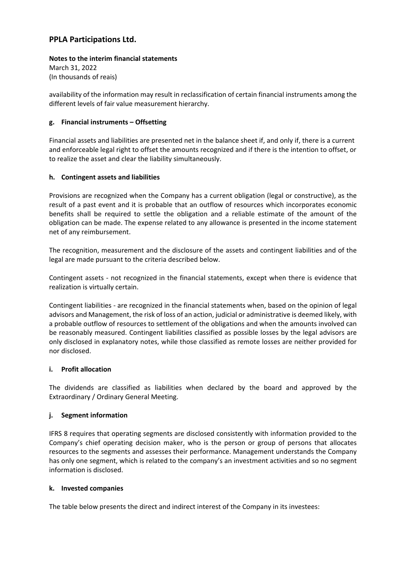### **Notes to the interim financial statements**

March 31, 2022 (In thousands of reais)

availability of the information may result in reclassification of certain financial instruments among the different levels of fair value measurement hierarchy.

### **g. Financial instruments – Offsetting**

Financial assets and liabilities are presented net in the balance sheet if, and only if, there is a current and enforceable legal right to offset the amounts recognized and if there is the intention to offset, or to realize the asset and clear the liability simultaneously.

### **h. Contingent assets and liabilities**

Provisions are recognized when the Company has a current obligation (legal or constructive), as the result of a past event and it is probable that an outflow of resources which incorporates economic benefits shall be required to settle the obligation and a reliable estimate of the amount of the obligation can be made. The expense related to any allowance is presented in the income statement net of any reimbursement.

The recognition, measurement and the disclosure of the assets and contingent liabilities and of the legal are made pursuant to the criteria described below.

Contingent assets ‐ not recognized in the financial statements, except when there is evidence that realization is virtually certain.

Contingent liabilities ‐ are recognized in the financial statements when, based on the opinion of legal advisors and Management, the risk of loss of an action, judicial or administrative is deemed likely, with a probable outflow of resources to settlement of the obligations and when the amounts involved can be reasonably measured. Contingent liabilities classified as possible losses by the legal advisors are only disclosed in explanatory notes, while those classified as remote losses are neither provided for nor disclosed.

### **i. Profit allocation**

The dividends are classified as liabilities when declared by the board and approved by the Extraordinary / Ordinary General Meeting.

### **j. Segment information**

IFRS 8 requires that operating segments are disclosed consistently with information provided to the Company's chief operating decision maker, who is the person or group of persons that allocates resources to the segments and assesses their performance. Management understands the Company has only one segment, which is related to the company's an investment activities and so no segment information is disclosed.

### **k. Invested companies**

The table below presents the direct and indirect interest of the Company in its investees: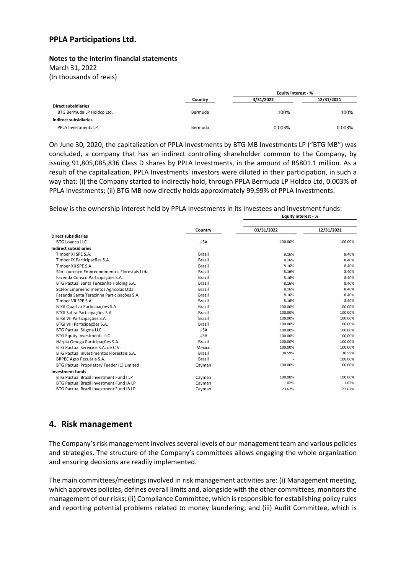#### **Notes to the interim financial statements**

March 31, 2022

(In thousands of reais)

|                            |         | Equity interest - % |            |  |
|----------------------------|---------|---------------------|------------|--|
|                            | Country | 3/31/2022           | 12/31/2021 |  |
| <b>Direct subsidiaries</b> |         |                     |            |  |
| BTG Bermuda LP Holdco Ltd. | Bermuda | 100%                | 100%       |  |
| Indirect subsidiaries      |         |                     |            |  |
| PPLA Investments LP.       | Bermuda | 0.003%              | 0.003%     |  |

On June 30, 2020, the capitalization of PPLA Investments by BTG MB Investments LP ("BTG MB") was concluded, a company that has an indirect controlling shareholder common to the Company, by issuing 91,805,085,836 Class D shares by PPLA Investments, in the amount of R\$801.1 million. As a result of the capitalization, PPLA Investments' investors were diluted in their participation, in such a way that: (i) the Company started to indirectly hold, through PPLA Bermuda LP Holdco Ltd, 0.003% of PPLA Investments; (ii) BTG MB now directly holds approximately 99.99% of PPLA Investments.

Below is the ownership interest held by PPLA Investments in its investees and investment funds: **Equity interest ‐ %**

|                                               | Country       | 03/31/2022 | 12/31/2021 |  |  |
|-----------------------------------------------|---------------|------------|------------|--|--|
| <b>Direct subsidiaries</b>                    |               |            |            |  |  |
| <b>BTG Loanco LLC</b>                         | <b>USA</b>    | 100.00%    | 100.00%    |  |  |
| <b>Indirect subsidiaries</b>                  |               |            |            |  |  |
| Timber XI SPE S.A.                            | <b>Brazil</b> | 8.16%      | 8.40%      |  |  |
| Timber IX Participações S.A.                  | <b>Brazil</b> | 8.16%      | 8.40%      |  |  |
| Timber XII SPE S.A.                           | <b>Brazil</b> | 8.16%      | 8.40%      |  |  |
| São Lourenço Empreendimentos Florestais Ltda. | <b>Brazil</b> | 8.16%      | 8.40%      |  |  |
| Fazenda Corisco Participações S.A.            | <b>Brazil</b> | 8.16%      | 8.40%      |  |  |
| BTG Pactual Santa Terezinha Holding S.A.      | <b>Brazil</b> | 8.16%      | 8.40%      |  |  |
| SCFlor Empreendimentos Agrícolas Ltda.        | Brazil        | 8.16%      | 8.40%      |  |  |
| Fazenda Santa Terezinha Participações S.A.    | <b>Brazil</b> | 8.16%      | 8.40%      |  |  |
| Timber VII SPE S.A.                           | <b>Brazil</b> | 8.16%      | 8.40%      |  |  |
| <b>BTGI Quartzo Participações S.A</b>         | <b>Brazil</b> | 100.00%    | 100.00%    |  |  |
| BTGI Safira Participações S.A                 | <b>Brazil</b> | 100.00%    | 100.00%    |  |  |
| BTGI VII Participações S.A.                   | <b>Brazil</b> | 100.00%    | 100.00%    |  |  |
| BTGI VIII Participações S.A.                  | <b>Brazil</b> | 100.00%    | 100.00%    |  |  |
| <b>BTG Pactual Stigma LLC</b>                 | <b>USA</b>    | 100.00%    | 100.00%    |  |  |
| <b>BTG Equity Investments LLC</b>             | <b>USA</b>    | 100.00%    | 100.00%    |  |  |
| Hárpia Omega Participações S.A.               | Brazil        | 100.00%    | 100.00%    |  |  |
| BTG Pactual Servicios S.A. de C.V.            | Mexico        | 100.00%    | 100.00%    |  |  |
| BTG Pactual Investimentos Florestais S.A.     | Brazil        | 30.59%     | 30.59%     |  |  |
| BRPEC Agro Pecuária S.A.                      | Brazil        |            | 100.00%    |  |  |
| BTG Pactual Proprietary Feeder (1) Limited    | Cayman        | 100.00%    | 100.00%    |  |  |
| <b>Investment funds</b>                       |               |            |            |  |  |
| BTG Pactual Brazil Investment Fund I LP       | Cayman        | 100.00%    | 100.00%    |  |  |
| BTG Pactual Brazil Investment Fund IA LP      | Cayman        | 1.02%      | 1.02%      |  |  |
| BTG Pactual Brazil Investment Fund IB LP      | Cayman        | 23.62%     | 23.62%     |  |  |
|                                               |               |            |            |  |  |

# **4. Risk management**

The Company's risk management involves several levels of our management team and various policies and strategies. The structure of the Company's committees allows engaging the whole organization and ensuring decisions are readily implemented.

The main committees/meetings involved in risk management activities are: (i) Management meeting, which approves policies, defines overall limits and, alongside with the other committees, monitors the management of our risks; (ii) Compliance Committee, which is responsible for establishing policy rules and reporting potential problems related to money laundering; and (iii) Audit Committee, which is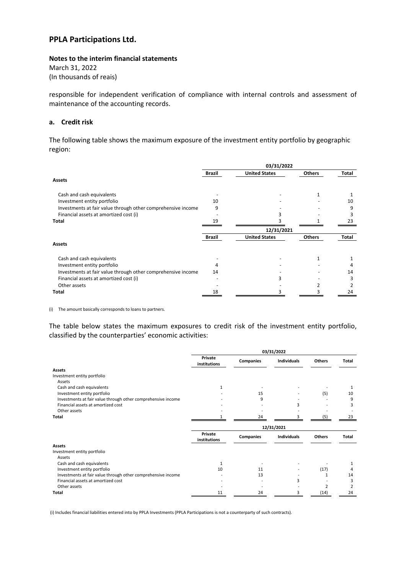#### **Notes to the interim financial statements**

March 31, 2022 (In thousands of reais)

responsible for independent verification of compliance with internal controls and assessment of maintenance of the accounting records.

#### **a. Credit risk**

The following table shows the maximum exposure of the investment entity portfolio by geographic region:

|                                                              |               | 03/31/2022           |               |       |
|--------------------------------------------------------------|---------------|----------------------|---------------|-------|
|                                                              | <b>Brazil</b> | <b>United States</b> | <b>Others</b> | Total |
| <b>Assets</b>                                                |               |                      |               |       |
| Cash and cash equivalents                                    |               |                      |               |       |
| Investment entity portfolio                                  | 10            |                      |               | 10    |
| Investments at fair value through other comprehensive income | 9             |                      |               | ٩     |
| Financial assets at amortized cost (i)                       |               |                      |               |       |
| Total                                                        | 19            |                      |               | 23    |
|                                                              |               | 12/31/2021           |               |       |
|                                                              | Brazil        | <b>United States</b> | <b>Others</b> | Total |
| <b>Assets</b>                                                |               |                      |               |       |
| Cash and cash equivalents                                    |               |                      |               |       |
| Investment entity portfolio                                  | 4             |                      |               |       |
| Investments at fair value through other comprehensive income | 14            |                      |               | 14    |
| Financial assets at amortized cost (i)                       |               |                      |               |       |
| Other assets                                                 |               |                      |               |       |
| Total                                                        | 18            |                      |               | 24    |

(i) The amount basically corresponds to loans to partners.

The table below states the maximum exposures to credit risk of the investment entity portfolio, classified by the counterparties' economic activities:

|                                                              | 03/31/2022              |           |                    |               |                         |
|--------------------------------------------------------------|-------------------------|-----------|--------------------|---------------|-------------------------|
|                                                              | Private<br>institutions | Companies | <b>Individuals</b> | <b>Others</b> | Total                   |
| <b>Assets</b>                                                |                         |           |                    |               |                         |
| Investment entity portfolio                                  |                         |           |                    |               |                         |
| Assets                                                       |                         |           |                    |               |                         |
| Cash and cash equivalents                                    |                         |           |                    |               |                         |
| Investment entity portfolio                                  |                         | 15        |                    | (5)           | 10                      |
| Investments at fair value through other comprehensive income |                         | q         |                    |               | 9                       |
| Financial assets at amortized cost                           |                         |           | 3                  |               | 3                       |
| Other assets                                                 |                         |           |                    |               |                         |
| Total                                                        |                         | 24        | 3                  | (5)           | 23                      |
|                                                              | 12/31/2021              |           |                    |               |                         |
|                                                              |                         |           |                    |               |                         |
|                                                              | Private<br>institutions | Companies | Individuals        | Others        | Total                   |
| <b>Assets</b>                                                |                         |           |                    |               |                         |
| Investment entity portfolio                                  |                         |           |                    |               |                         |
| Assets                                                       |                         |           |                    |               |                         |
| Cash and cash equivalents                                    |                         |           |                    |               |                         |
| Investment entity portfolio                                  | 10                      | 11        |                    | (17)          | 4                       |
| Investments at fair value through other comprehensive income |                         | 13        |                    |               | 14                      |
| Financial assets at amortized cost                           |                         |           | 3                  |               | 3                       |
| Other assets                                                 |                         |           |                    | 2             | $\overline{\mathbf{c}}$ |

(i) Includes financial liabilities entered into by PPLA Investments (PPLA Participations is not a counterparty of such contracts).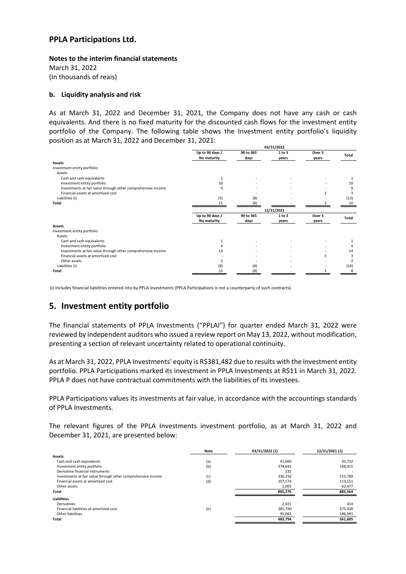**Notes to the interim financial statements** March 31, 2022

(In thousands of reais)

### **b. Liquidity analysis and risk**

As at March 31, 2022 and December 31, 2021, the Company does not have any cash or cash equivalents. And there is no fixed maturity for the discounted cash flows for the investment entity portfolio of the Company. The following table shows the Investment entity portfolio's liquidity position as at March 31, 2022 and December 31, 2021:

|                                                              | 03/31/2022      |           |            |        |                          |
|--------------------------------------------------------------|-----------------|-----------|------------|--------|--------------------------|
|                                                              | Up to 90 days / | 90 to 365 | 1 to 3     | Over 3 | Total                    |
|                                                              | No maturity     | days      | years      | years  |                          |
| <b>Assets</b>                                                |                 |           |            |        |                          |
| Investment entity portfolio                                  |                 |           |            |        |                          |
| Assets                                                       |                 |           |            |        |                          |
| Cash and cash equivalents                                    |                 |           |            |        |                          |
| Investment entity portfolio                                  | 10              |           |            |        | 10                       |
| Investments at fair value through other comprehensive income | q               |           |            |        | 9                        |
| Financial assets at amortized cost                           |                 |           |            | 3      | 3                        |
| Liabilities (i)                                              | (5)             | (8)       |            |        | (13)                     |
| Total                                                        | 15              | (8)       |            |        | 10                       |
|                                                              |                 |           | 12/31/2021 |        |                          |
|                                                              | Up to 90 days / | 90 to 365 | 1 to 3     | Over 3 |                          |
|                                                              | No maturity     | days      | years      | years  | <b>Total</b>             |
| <b>Assets</b>                                                |                 |           |            |        |                          |
| Investment entity portfolio                                  |                 |           |            |        |                          |
| Assets                                                       |                 |           |            |        |                          |
| Cash and cash equivalents                                    |                 |           |            |        |                          |
| Investment entity portfolio                                  |                 |           |            |        |                          |
| Investments at fair value through other comprehensive income | 14              |           |            |        | 14                       |
| Financial assets at amortized cost                           |                 |           |            | 3      | 3                        |
| Other assets                                                 |                 |           |            |        | $\overline{\phantom{a}}$ |
| Liabilities (i)                                              | (8)             | (8)       |            |        | (16)                     |
| Total                                                        | 13              | (8)       |            |        | 8                        |
|                                                              |                 |           |            |        |                          |

(i) Includes financial liabilities entered into by PPLA Investments (PPLA Participations is not a counterparty of such contracts).

# **5. Investment entity portfolio**

The financial statements of PPLA Investments ("PPLAI") for quarter ended March 31, 2022 were reviewed by independent auditors who issued a review report on May 13, 2022, without modification, presenting a section of relevant uncertainty related to operational continuity.

As at March 31, 2022, PPLA Investments' equity is R\$381,482 due to results with the investment entity portfolio. PPLA Participations marked its investment in PPLA Investments at R\$11 in March 31, 2022. PPLA P does not have contractual commitments with the liabilities of its investees.

PPLA Participations values its investments at fair value, in accordance with the accountings standards of PPLA Investments.

The relevant figures of the PPLA Investments investment portfolio, as at March 31, 2022 and December 31, 2021, are presented below:

|                                                              | Note | 03/31/2022 (1) | 12/31/2021 (1) |
|--------------------------------------------------------------|------|----------------|----------------|
| <b>Assets</b>                                                |      |                |                |
| Cash and cash equivalents                                    | (a)  | 41,669         | 45,732         |
| Investment entity portfolio                                  | (b)  | 378,642        | 148,415        |
| Derivative financial instruments                             |      | 232            |                |
| Investments at fair value through other comprehensive income | (c)  | 336,156        | 515,789        |
| Financial assets at amortized cost                           | (d)  | 107,574        | 113,151        |
| Other assets                                                 |      | 1,003          | 62,477         |
| Total                                                        |      | 865,276        | 885,564        |
| <b>Liabilities</b>                                           |      |                |                |
| Derivatives                                                  |      | 2,921          | 414            |
| Financial liabilities at amortized cost                      | (e)  | 385,790        | 375,100        |
| Other liabilities                                            |      | 95,083         | 186,091        |
| Total                                                        |      | 483,794        | 561,605        |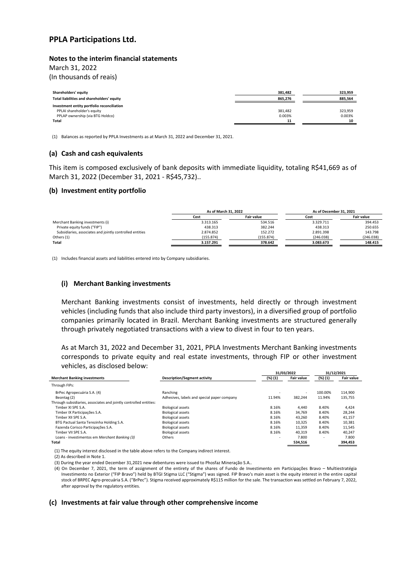#### **Notes to the interim financial statements**

March 31, 2022

(In thousands of reais)

| Shareholders' equity                       | 381.482 | 323.959 |
|--------------------------------------------|---------|---------|
| Total liabilities and shareholders' equity | 865,276 | 885.564 |
| Investment entity portfolio reconciliation |         |         |
| PPLAI shareholder's equity                 | 381.482 | 323.959 |
| PPLAP ownership (via BTG Holdco)           | 0.003%  | 0.003%  |
| Total                                      | 11      | 10      |
|                                            |         |         |

(1) Balances as reported by PPLA Investments as at March 31, 2022 and December 31, 2021.

#### **(a) Cash and cash equivalents**

This item is composed exclusively of bank deposits with immediate liquidity, totaling R\$41,669 as of March 31, 2022 (December 31, 2021 ‐ R\$45,732)..

### **(b) Investment entity portfolio**

|                                                          | As of March 31, 2022 |                   | As of December 31, 2021 |                   |  |
|----------------------------------------------------------|----------------------|-------------------|-------------------------|-------------------|--|
|                                                          | Cost                 | <b>Fair value</b> | Cost                    | <b>Fair value</b> |  |
| Merchant Banking investments (i)                         | 3.313.165            | 534.516           | 3.329.711               | 394.453           |  |
| Private equity funds ("FIP")                             | 438.313              | 382.244           | 438.313                 | 250.655           |  |
| Subsidiaries, associates and jointly controlled entities | 2.874.852            | 152.272           | 2.891.398               | 143.798           |  |
| Others (1)                                               | (155.874)            | (155.874)         | (246.038)               | (246.038)         |  |
| Total                                                    | 3.157.291            | 378.642           | 3.083.673               | 148.415           |  |

(1) Includes financial assets and liabilities entered into by Company subsidiaries.

#### **(i) Merchant Banking investments**

Merchant Banking investments consist of investments, held directly or through investment vehicles (including funds that also include third party investors), in a diversified group of portfolio companies primarily located in Brazil. Merchant Banking investments are structured generally through privately negotiated transactions with a view to divest in four to ten years.

As at March 31, 2022 and December 31, 2021, PPLA Investments Merchant Banking investments corresponds to private equity and real estate investments, through FIP or other investment vehicles, as disclosed below:

|                                                                   |                                             | 31/03/2022               |            | 31/12/2021 |                   |
|-------------------------------------------------------------------|---------------------------------------------|--------------------------|------------|------------|-------------------|
| <b>Merchant Banking investments</b>                               | <b>Description/Segment activity</b>         | (%) (1)                  | Fair value | (%) (1)    | <b>Fair value</b> |
| Through FIPs:                                                     |                                             |                          |            |            |                   |
| BrPec Agropecuária S.A. (4)                                       | Ranching                                    |                          |            | 100.00%    | 114,900           |
| Beontag (2)                                                       | Adhesives, labels and special paper company | 11.94%                   | 382.244    | 11.94%     | 135.755           |
| Through subsidiaries, associates and jointly controlled entities: |                                             |                          |            |            |                   |
| Timber XI SPE S.A.                                                | <b>Biological assets</b>                    | 8.16%                    | 4,440      | 8.40%      | 4,424             |
| Timber IX Participações S.A.                                      | <b>Biological assets</b>                    | 8.16%                    | 34,769     | 8.40%      | 28,244            |
| Timber XII SPE S.A.                                               | <b>Biological assets</b>                    | 8.16%                    | 43,260     | 8.40%      | 41,157            |
| BTG Pactual Santa Terezinha Holding S.A.                          | <b>Biological assets</b>                    | 8.16%                    | 10,325     | 8.40%      | 10,381            |
| Fazenda Corisco Participações S.A.                                | <b>Biological assets</b>                    | 8.16%                    | 11,359     | 8.40%      | 11,545            |
| Timber VII SPE S.A.                                               | <b>Biological assets</b>                    | 8.16%                    | 40,319     | 8.40%      | 40,247            |
| Loans - investimentos em Merchant Banking (3)                     | Others                                      | $\overline{\phantom{a}}$ | 7.800      |            | 7.800             |
| Total                                                             |                                             |                          | 534,516    |            | 394,453           |

(1) The equity interest disclosed in the table above refers to the Company indirect interest.

(2) As described in Note 1.

(3) During the year ended December 31,2021 new debentures were issued to Phosfaz Mineração S.A..

 (4) On December 7, 2021, the term of assignment of the entirety of the shares of Fundo de Investimento em Participações Bravo – Multiestratégia Investimento no Exterior ("FIP Bravo") held by BTGI Stigma LLC ("Stigma") was signed. FIP Bravo's main asset is the equity interest in the entire capital stock of BRPEC Agro‐precuária S.A. ("BrPec"). Stigma received approximately R\$115 million for the sale. The transaction was settled on February 7, 2022, after approval by the regulatory entities.

#### **(c) Investments at fair value through other comprehensive income**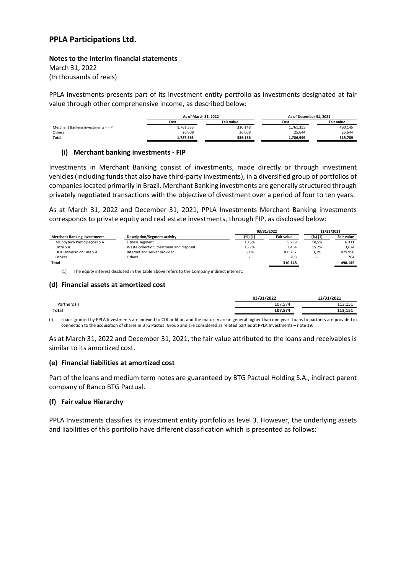#### **Notes to the interim financial statements**

March 31, 2022 (In thousands of reais)

PPLA Investments presents part of its investment entity portfolio as investments designated at fair value through other comprehensive income, as described below:

|                                    | As of March 31, 2022 |                   | As of December 31, 2021 |                   |
|------------------------------------|----------------------|-------------------|-------------------------|-------------------|
|                                    | Cost                 | <b>Fair value</b> | Cost                    | <b>Fair value</b> |
| Merchant Banking investments - FIP | 1.761.355            | 310.148           | 1,761,355               | 490,145           |
| Others                             | 26.008               | 26.008            | 25.644                  | 25.644            |
| Total                              | 1.787.363            | 336.156           | 1.786.999               | 515,789           |

#### **(i) Merchant banking investments ‐ FIP**

Investments in Merchant Banking consist of investments, made directly or through investment vehicles (including funds that also have third‐party investments), in a diversified group of portfolios of companieslocated primarily in Brazil. Merchant Banking investments are generally structured through privately negotiated transactions with the objective of divestment over a period of four to ten years.

As at March 31, 2022 and December 31, 2021, PPLA Investments Merchant Banking investments corresponds to private equity and real estate investments, through FIP, as disclosed below:

|                                     |                                          | 03/31/2022 |                   | 12/31/2021 |                   |
|-------------------------------------|------------------------------------------|------------|-------------------|------------|-------------------|
| <b>Merchant Banking investments</b> | <b>Description/Segment activity</b>      | (%) (1)    | <b>Fair value</b> | (%) (1)    | <b>Fair value</b> |
| A!Bodytech Participações S.A.       | Fitness segment                          | 10.5%      | 5.739             | 10.5%      | 6.311             |
| Latte S.A.                          | Waste collection, treatment and disposal | 15.7%      | 3.464             | 15.7%      | 3.674             |
| UOL Universo on Line S.A.           | Internet and server provider             | 3,1%       | 300.737           | 3.1%       | 479.956           |
| Others                              | Others                                   | -          | 208               |            | 204               |
| Total                               |                                          |            | 310.148           |            | 490.145           |
|                                     |                                          |            |                   |            |                   |

(1) The equity interest disclosed in the table above refers to the Company indirect interest.

#### **(d) Financial assets at amortized cost**

|              | 03/31/2022 | 12/31/2021 |
|--------------|------------|------------|
| Partners (i) | 107,574    | 113,151    |
| Total        | 107,574    | 113,151    |

(i) Loans granted by PPLA Investments are indexed to CDI or libor, and the maturity are in general higher than one year. Loans to partners are provided in connection to the acquisition of shares in BTG Pactual Group and are considered as related parties at PPLA Investments – note 19.

As at March 31, 2022 and December 31, 2021, the fair value attributed to the loans and receivables is similar to its amortized cost.

### **(e) Financial liabilities at amortized cost**

Part of the loans and medium term notes are guaranteed by BTG Pactual Holding S.A., indirect parent company of Banco BTG Pactual.

#### **(f) Fair value Hierarchy**

PPLA Investments classifies its investment entity portfolio as level 3. However, the underlying assets and liabilities of this portfolio have different classification which is presented as follows: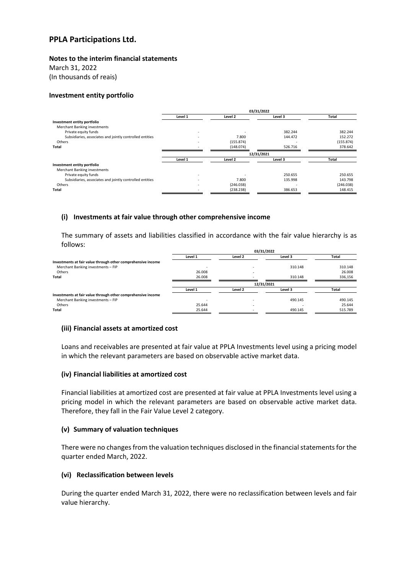**Notes to the interim financial statements**

March 31, 2022

(In thousands of reais)

#### **Investment entity portfolio**

|                                                          | 03/31/2022               |            |                |           |
|----------------------------------------------------------|--------------------------|------------|----------------|-----------|
|                                                          | Level 1                  | Level 2    | Level 3        | Total     |
| Investment entity portfolio                              |                          |            |                |           |
| Merchant Banking investments                             |                          |            |                |           |
| Private equity funds                                     |                          | ۰          | 382.244        | 382.244   |
| Subsidiaries, associates and jointly controlled entities |                          | 7.800      | 144.472        | 152.272   |
| Others                                                   |                          | (155.874)  |                | (155.874) |
| Total                                                    |                          | (148.074)  | 526.716        | 378.642   |
|                                                          |                          | 12/31/2021 |                |           |
|                                                          | Level 1                  | Level 2    | Level 3        | Total     |
| Investment entity portfolio                              |                          |            |                |           |
| Merchant Banking investments                             |                          |            |                |           |
| Private equity funds                                     | $\overline{\phantom{a}}$ |            | 250.655        | 250.655   |
| Subsidiaries, associates and jointly controlled entities |                          | 7.800      | 135.998        | 143.798   |
| Others                                                   |                          | (246.038)  | $\blacksquare$ | (246.038) |
| Total                                                    |                          | (238.238)  | 386.653        | 148.415   |
|                                                          |                          |            |                |           |

#### **(i) Investments at fair value through other comprehensive income**

The summary of assets and liabilities classified in accordance with the fair value hierarchy is as follows:

| .                                                            |            |                |         |         |  |
|--------------------------------------------------------------|------------|----------------|---------|---------|--|
|                                                              | 03/31/2022 |                |         |         |  |
|                                                              | Level 1    | Level 2        | Level 3 | Total   |  |
| Investments at fair value through other comprehensive income |            |                |         |         |  |
| Merchant Banking investments - FIP                           |            |                | 310.148 | 310.148 |  |
| Others                                                       | 26.008     | $\blacksquare$ |         | 26,008  |  |
| Total                                                        | 26.008     | ۰              | 310.148 | 336,156 |  |
|                                                              |            | 12/31/2021     |         |         |  |
|                                                              | Level 1    | Level 2        | Level 3 | Total   |  |
| Investments at fair value through other comprehensive income |            |                |         |         |  |
| Merchant Banking investments - FIP                           |            |                | 490.145 | 490.145 |  |
| Others                                                       | 25.644     | $\blacksquare$ |         | 25.644  |  |
| Total                                                        | 25.644     |                | 490.145 | 515.789 |  |
|                                                              |            |                |         |         |  |

#### **(iii) Financial assets at amortized cost**

Loans and receivables are presented at fair value at PPLA Investments level using a pricing model in which the relevant parameters are based on observable active market data.

#### **(iv) Financial liabilities at amortized cost**

Financial liabilities at amortized cost are presented at fair value at PPLA Investments level using a pricing model in which the relevant parameters are based on observable active market data. Therefore, they fall in the Fair Value Level 2 category.

#### **(v) Summary of valuation techniques**

There were no changes from the valuation techniques disclosed in the financial statements for the quarter ended March, 2022.

#### **(vi) Reclassification between levels**

During the quarter ended March 31, 2022, there were no reclassification between levels and fair value hierarchy.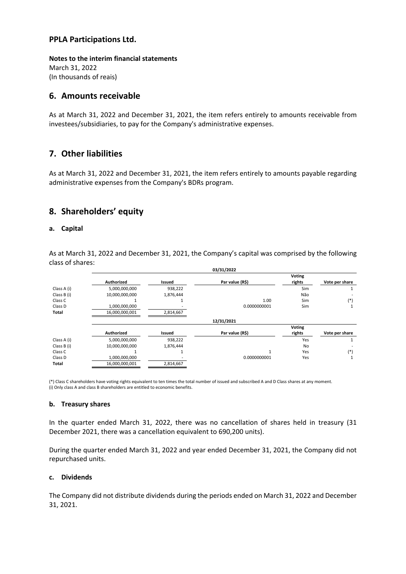**Notes to the interim financial statements** March 31, 2022 (In thousands of reais)

### **6. Amounts receivable**

As at March 31, 2022 and December 31, 2021, the item refers entirely to amounts receivable from investees/subsidiaries, to pay for the Company's administrative expenses.

# **7. Other liabilities**

As at March 31, 2022 and December 31, 2021, the item refers entirely to amounts payable regarding administrative expenses from the Company's BDRs program.

# **8. Shareholders' equity**

#### **a. Capital**

As at March 31, 2022 and December 31, 2021, the Company's capital was comprised by the following class of shares:

|             |                |           | 03/31/2022      |                         |                |
|-------------|----------------|-----------|-----------------|-------------------------|----------------|
|             | Authorized     | Issued    | Par value (R\$) | <b>Voting</b><br>rights | Vote per share |
| Class A (i) | 5,000,000,000  | 938,222   |                 | Sim                     |                |
| Class B (i) | 10,000,000,000 | 1,876,444 |                 | Não                     |                |
| Class C     |                |           | 1.00            | Sim                     | $(*)$          |
| Class D     | 1,000,000,000  |           | 0.0000000001    | Sim                     |                |
| Total       | 16,000,000,001 | 2,814,667 |                 |                         |                |
|             |                |           | 12/31/2021      |                         |                |
|             |                |           |                 | <b>Voting</b>           |                |
|             | Authorized     | Issued    | Par value (R\$) | rights                  | Vote per share |
| Class A (i) | 5,000,000,000  | 938,222   |                 | Yes                     |                |
| Class B (i) | 10,000,000,000 | 1,876,444 |                 | No                      |                |
| Class C     |                |           | 1               | Yes                     | $(*)$          |
| Class D     | 1,000,000,000  |           | 0.0000000001    | Yes                     |                |
| Total       | 16,000,000,001 | 2,814,667 |                 |                         |                |
|             |                |           |                 |                         |                |

(\*) Class C shareholders have voting rights equivalent to ten times the total number of issued and subscribed A and D Class shares at any moment. (i) Only class A and class B shareholders are entitled to economic benefits.

#### **b. Treasury shares**

In the quarter ended March 31, 2022, there was no cancellation of shares held in treasury (31 December 2021, there was a cancellation equivalent to 690,200 units).

During the quarter ended March 31, 2022 and year ended December 31, 2021, the Company did not repurchased units.

#### **c. Dividends**

The Company did not distribute dividends during the periods ended on March 31, 2022 and December 31, 2021.